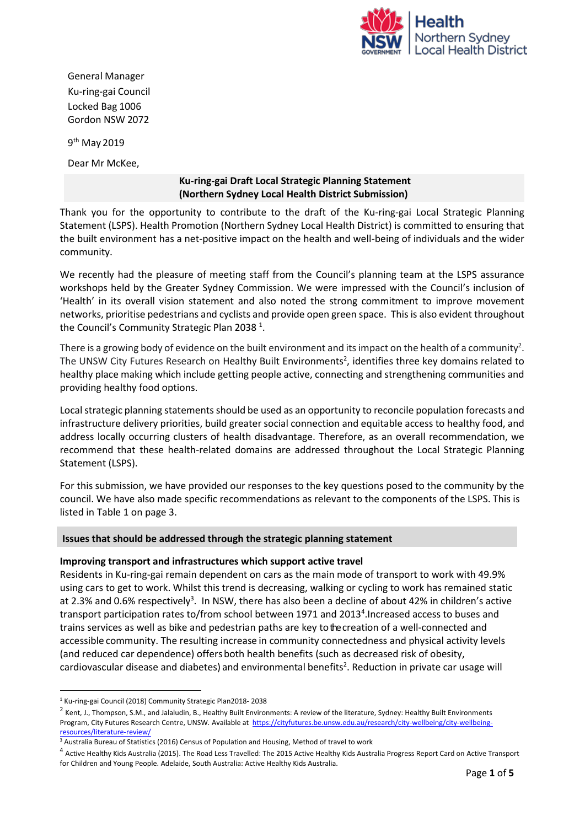

General Manager Ku-ring-gai Council Locked Bag 1006 Gordon NSW 2072

9<sup>th</sup> May 2019

Dear Mr McKee,

## **Ku-ring-gai Draft Local Strategic Planning Statement (Northern Sydney Local Health District Submission)**

Thank you for the opportunity to contribute to the draft of the Ku-ring-gai Local Strategic Planning Statement (LSPS). Health Promotion (Northern Sydney Local Health District) is committed to ensuring that the built environment has a net‐positive impact on the health and well-being of individuals and the wider community.

We recently had the pleasure of meeting staff from the Council's planning team at the LSPS assurance workshops held by the Greater Sydney Commission. We were impressed with the Council's inclusion of 'Health' in its overall vision statement and also noted the strong commitment to improve movement networks, prioritise pedestrians and cyclists and provide open green space. This is also evident throughout the Council's Community Strategic Plan 2038  $^1$ .

There is a growing body of evidence on the built environment and its impact on the health of a community<sup>2</sup>. The UNSW City Futures Research on Healthy Built Environments 2 , identifies three key domains related to healthy place making which include getting people active, connecting and strengthening communities and providing healthy food options.

Local strategic planning statements should be used as an opportunity to reconcile population forecasts and infrastructure delivery priorities, build greater social connection and equitable access to healthy food, and address locally occurring clusters of health disadvantage. Therefore, as an overall recommendation, we recommend that these health-related domains are addressed throughout the Local Strategic Planning Statement (LSPS).

For this submission, we have provided our responses to the key questions posed to the community by the council. We have also made specific recommendations as relevant to the components of the LSPS. This is listed in Table 1 on page 3.

# **Issues that should be addressed through the strategic planning statement**

### **Improving transport and infrastructures which support active travel**

Residents in Ku-ring-gai remain dependent on cars as the main mode of transport to work with 49.9% using cars to get to work. Whilst this trend is decreasing, walking or cycling to work has remained static at 2.3% and 0.6% respectively<sup>3</sup>. In NSW, there has also been a decline of about 42% in children's active transport participation rates to/from school between 1971 and 2013<sup>4</sup>. Increased access to buses and trains services as well as bike and pedestrian paths are key tothecreation of a well-connected and accessible community. The resulting increase in community connectedness and physical activity levels (and reduced car dependence) offersboth health benefits (such as decreased risk of obesity, cardiovascular disease and diabetes) and environmental benefits<sup>2</sup>. Reduction in private car usage will

 $\ddot{\phantom{a}}$ <sup>1</sup> Ku-ring-gai Council (2018) Community Strategic Plan2018- 2038

<sup>&</sup>lt;sup>2</sup> Kent, J., Thompson, S.M., and Jalaludin, B., Healthy Built Environments: A review of the literature, Sydney: Healthy Built Environments Program, City Futures Research Centre, UNSW*.* Available at [https://cityfutures.be.unsw.edu.au/research/city-wellbeing/city-wellbeing](https://cityfutures.be.unsw.edu.au/research/city-wellbeing/city-wellbeing-resources/literature-review/)[resources/literature-review/](https://cityfutures.be.unsw.edu.au/research/city-wellbeing/city-wellbeing-resources/literature-review/)

<sup>&</sup>lt;sup>3</sup> Australia Bureau of Statistics (2016) Census of Population and Housing, Method of travel to work

<sup>4</sup> Active Healthy Kids Australia (2015). The Road Less Travelled: The 2015 Active Healthy Kids Australia Progress Report Card on Active Transport for Children and Young People. Adelaide, South Australia: Active Healthy Kids Australia.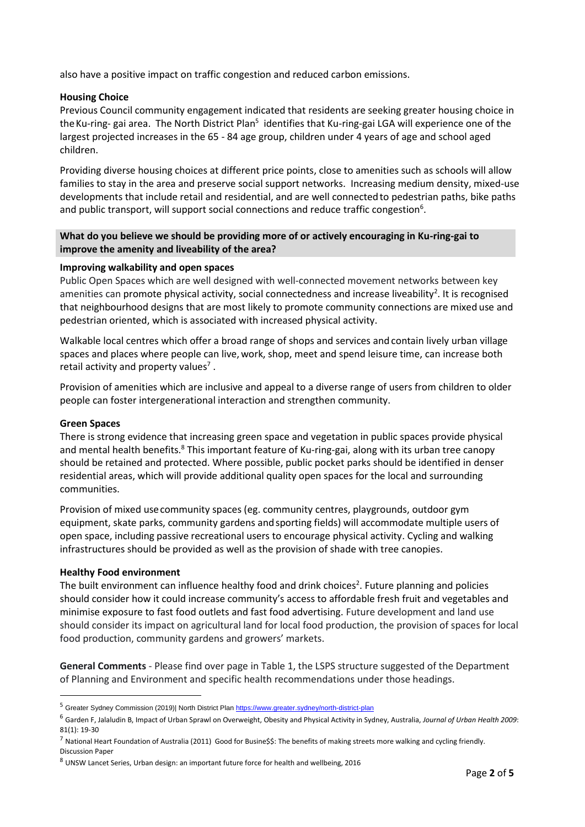also have a positive impact on traffic congestion and reduced carbon emissions.

### **Housing Choice**

Previous Council community engagement indicated that residents are seeking greater housing choice in the Ku-ring- gai area. The North District Plan<sup>5</sup> identifies that Ku-ring-gai LGA will experience one of the largest projected increases in the 65 - 84 age group, children under 4 years of age and school aged children.

Providing diverse housing choices at different price points, close to amenities such as schools will allow families to stay in the area and preserve social support networks. Increasing medium density, mixed-use developments that include retail and residential, and are well connectedto pedestrian paths, bike paths and public transport, will support social connections and reduce traffic congestion<sup>6</sup>.

## **What do you believe we should be providing more of or actively encouraging in Ku-ring-gai to improve the amenity and liveability of the area?**

### **Improving walkability and open spaces**

Public Open Spaces which are well designed with well-connected movement networks between key amenities can promote physical activity, social connectedness and increase liveability<sup>2</sup>. It is recognised that neighbourhood designs that are most likely to promote community connections are mixed use and pedestrian oriented, which is associated with increased physical activity.

Walkable local centres which offer a broad range of shops and services and contain lively urban village spaces and places where people can live,work, shop, meet and spend leisure time, can increase both retail activity and property values<sup>7</sup>.

Provision of amenities which are inclusive and appeal to a diverse range of users from children to older people can foster intergenerational interaction and strengthen community.

### **Green Spaces**

There is strong evidence that increasing green space and vegetation in public spaces provide physical and mental health benefits.<sup>8</sup> This important feature of Ku-ring-gai, along with its urban tree canopy should be retained and protected. Where possible, public pocket parks should be identified in denser residential areas, which will provide additional quality open spaces for the local and surrounding communities.

Provision of mixed usecommunity spaces (eg. community centres, playgrounds, outdoor gym equipment, skate parks, community gardens and sporting fields) will accommodate multiple users of open space, including passive recreational users to encourage physical activity. Cycling and walking infrastructures should be provided as well as the provision of shade with tree canopies.

### **Healthy Food environment**

 $\ddot{\phantom{a}}$ 

The built environment can influence healthy food and drink choices<sup>2</sup>. Future planning and policies should consider how it could increase community's access to affordable fresh fruit and vegetables and minimise exposure to fast food outlets and fast food advertising. Future development and land use should consider its impact on agricultural land for local food production, the provision of spaces for local food production, community gardens and growers' markets.

**General Comments** - Please find over page in Table 1, the LSPS structure suggested of the Department of Planning and Environment and specific health recommendations under those headings.

<sup>&</sup>lt;sup>5</sup> Greater Sydney Commission (2019)| North District Pla[n https://www.greater.sydney/north-district-plan](https://www.greater.sydney/north-district-plan)

<sup>6</sup> Garden F, Jalaludin B, Impact of Urban Sprawl on Overweight, Obesity and Physical Activity in Sydney, Australia, *Journal of Urban Health 2009*: 81(1): 19-30

 $^7$  National Heart Foundation of Australia (2011) Good for Busine\$\$: The benefits of making streets more walking and cycling friendly. Discussion Paper

<sup>8</sup> UNSW Lancet Series, Urban design: an important future force for health and wellbeing, 2016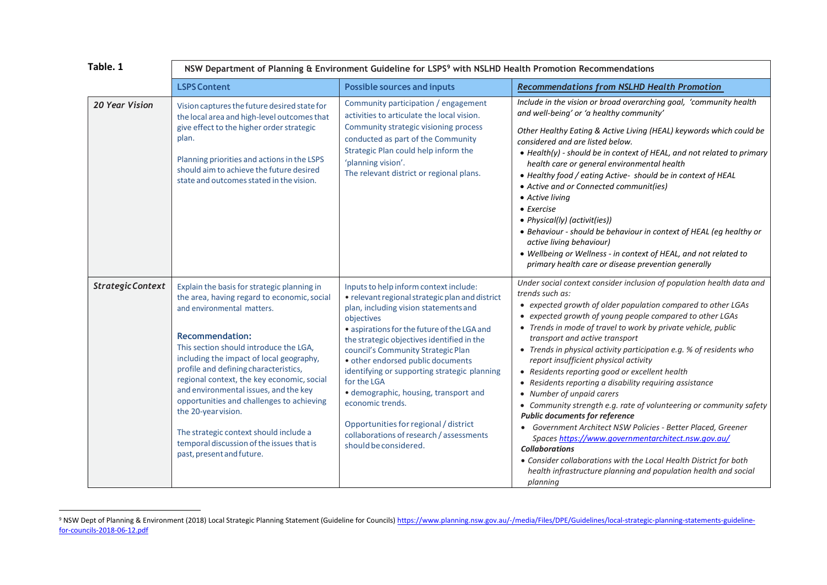| Table. 1          | NSW Department of Planning & Environment Guideline for LSPS <sup>9</sup> with NSLHD Health Promotion Recommendations                                                                                                                                                                                                                                                                                                                                                                                                                                             |                                                                                                                                                                                                                                                                                                                                                                                                                                                                                                                                                                    |                                                                                                                                                                                                                                                                                                                                                                                                                                                                                                                                                                                                                                                                                                                                                                                                                                                                                                                                                                                                     |  |  |
|-------------------|------------------------------------------------------------------------------------------------------------------------------------------------------------------------------------------------------------------------------------------------------------------------------------------------------------------------------------------------------------------------------------------------------------------------------------------------------------------------------------------------------------------------------------------------------------------|--------------------------------------------------------------------------------------------------------------------------------------------------------------------------------------------------------------------------------------------------------------------------------------------------------------------------------------------------------------------------------------------------------------------------------------------------------------------------------------------------------------------------------------------------------------------|-----------------------------------------------------------------------------------------------------------------------------------------------------------------------------------------------------------------------------------------------------------------------------------------------------------------------------------------------------------------------------------------------------------------------------------------------------------------------------------------------------------------------------------------------------------------------------------------------------------------------------------------------------------------------------------------------------------------------------------------------------------------------------------------------------------------------------------------------------------------------------------------------------------------------------------------------------------------------------------------------------|--|--|
|                   | <b>LSPS Content</b>                                                                                                                                                                                                                                                                                                                                                                                                                                                                                                                                              | <b>Possible sources and inputs</b>                                                                                                                                                                                                                                                                                                                                                                                                                                                                                                                                 | <b>Recommendations from NSLHD Health Promotion</b>                                                                                                                                                                                                                                                                                                                                                                                                                                                                                                                                                                                                                                                                                                                                                                                                                                                                                                                                                  |  |  |
| 20 Year Vision    | Vision captures the future desired state for<br>the local area and high-level outcomes that<br>give effect to the higher order strategic<br>plan.<br>Planning priorities and actions in the LSPS<br>should aim to achieve the future desired<br>state and outcomes stated in the vision.                                                                                                                                                                                                                                                                         | Community participation / engagement<br>activities to articulate the local vision.<br>Community strategic visioning process<br>conducted as part of the Community<br>Strategic Plan could help inform the<br>'planning vision'.<br>The relevant district or regional plans.                                                                                                                                                                                                                                                                                        | Include in the vision or broad overarching goal, 'community health<br>and well-being' or 'a healthy community'<br>Other Healthy Eating & Active Living (HEAL) keywords which could be<br>considered and are listed below.<br>• Health(y) - should be in context of HEAL, and not related to primary<br>health care or general environmental health<br>• Healthy food / eating Active- should be in context of HEAL<br>• Active and or Connected communit(ies)<br>• Active living<br>$\bullet$ Exercise<br>• Physical(ly) (activit(ies))<br>• Behaviour - should be behaviour in context of HEAL (eg healthy or<br>active living behaviour)<br>• Wellbeing or Wellness - in context of HEAL, and not related to<br>primary health care or disease prevention generally                                                                                                                                                                                                                               |  |  |
| Strategic Context | Explain the basis for strategic planning in<br>the area, having regard to economic, social<br>and environmental matters.<br><b>Recommendation:</b><br>This section should introduce the LGA,<br>including the impact of local geography,<br>profile and defining characteristics,<br>regional context, the key economic, social<br>and environmental issues, and the key<br>opportunities and challenges to achieving<br>the 20-year vision.<br>The strategic context should include a<br>temporal discussion of the issues that is<br>past, present and future. | Inputs to help inform context include:<br>· relevant regional strategic plan and district<br>plan, including vision statements and<br>objectives<br>• aspirations for the future of the LGA and<br>the strategic objectives identified in the<br>council's Community Strategic Plan<br>· other endorsed public documents<br>identifying or supporting strategic planning<br>for the LGA<br>· demographic, housing, transport and<br>economic trends.<br>Opportunities for regional / district<br>collaborations of research / assessments<br>should be considered. | Under social context consider inclusion of population health data and<br>trends such as:<br>• expected growth of older population compared to other LGAs<br>• expected growth of young people compared to other LGAs<br>• Trends in mode of travel to work by private vehicle, public<br>transport and active transport<br>• Trends in physical activity participation e.g. % of residents who<br>report insufficient physical activity<br>• Residents reporting good or excellent health<br>• Residents reporting a disability requiring assistance<br>• Number of unpaid carers<br>• Community strength e.g. rate of volunteering or community safety<br><b>Public documents for reference</b><br>• Government Architect NSW Policies - Better Placed, Greener<br>Spaces https://www.governmentarchitect.nsw.gov.au/<br><b>Collaborations</b><br>• Consider collaborations with the Local Health District for both<br>health infrastructure planning and population health and social<br>planning |  |  |

 $\overline{\phantom{a}}$ <sup>9</sup> NSW Dept of Planning & Environment (2018) Local Strategic Planning Statement (Guideline for Councils) [https://www.planning.nsw.gov.au/-/media/Files/DPE/Guidelines/local-strategic-planning-statements-guideline](https://www.planning.nsw.gov.au/-/media/Files/DPE/Guidelines/local-strategic-planning-statements-guideline-for-councils-2018-06-12.pdf)[for-councils-2018-06-12.pdf](https://www.planning.nsw.gov.au/-/media/Files/DPE/Guidelines/local-strategic-planning-statements-guideline-for-councils-2018-06-12.pdf)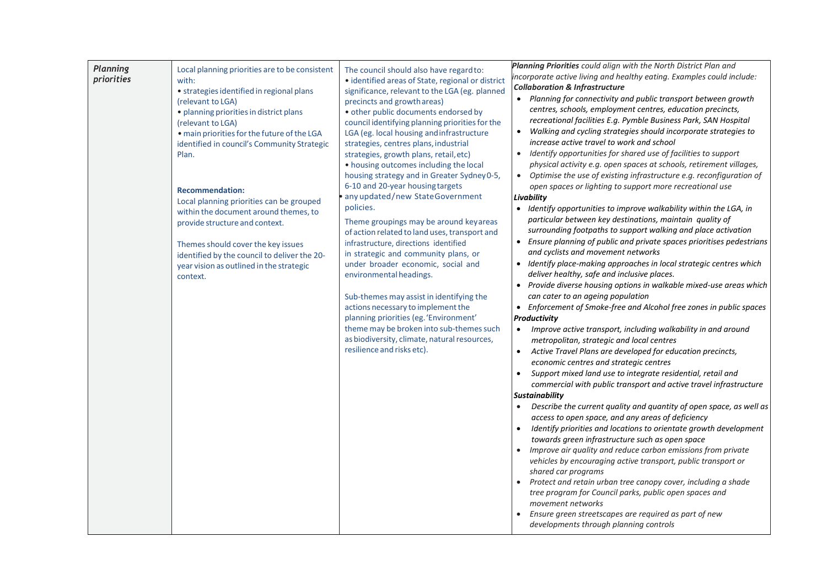| <b>Planning</b><br>priorities | Local planning priorities are to be consistent<br>with:<br>• strategies identified in regional plans<br>(relevant to LGA)<br>· planning priorities in district plans<br>(relevant to LGA)<br>. main priorities for the future of the LGA<br>identified in council's Community Strategic<br>Plan.<br><b>Recommendation:</b><br>Local planning priorities can be grouped<br>within the document around themes, to<br>provide structure and context.<br>Themes should cover the key issues<br>identified by the council to deliver the 20-<br>year vision as outlined in the strategic<br>context. | The council should also have regard to:<br>· identified areas of State, regional or district<br>significance, relevant to the LGA (eg. planned<br>precincts and growth areas)<br>· other public documents endorsed by<br>council identifying planning priorities for the<br>LGA (eg. local housing and infrastructure<br>strategies, centres plans, industrial<br>strategies, growth plans, retail, etc)<br>• housing outcomes including the local<br>housing strategy and in Greater Sydney 0-5,<br>6-10 and 20-year housing targets<br>any updated/new StateGovernment<br>policies.<br>Theme groupings may be around key areas<br>of action related to land uses, transport and<br>infrastructure, directions identified<br>in strategic and community plans, or<br>under broader economic, social and<br>environmental headings.<br>Sub-themes may assist in identifying the<br>actions necessary to implement the<br>planning priorities (eg. 'Environment'<br>theme may be broken into sub-themes such<br>as biodiversity, climate, natural resources,<br>resilience and risks etc). | Planning Priorities could align with the North District Plan and<br>incorporate active living and healthy eating. Examples could include:<br><b>Collaboration &amp; Infrastructure</b><br>Planning for connectivity and public transport between growth<br>centres, schools, employment centres, education precincts,<br>recreational facilities E.g. Pymble Business Park, SAN Hospital<br>Walking and cycling strategies should incorporate strategies to<br>$\bullet$<br>increase active travel to work and school<br>Identify opportunities for shared use of facilities to support<br>$\bullet$<br>physical activity e.g. open spaces at schools, retirement villages,<br>• Optimise the use of existing infrastructure e.g. reconfiguration of<br>open spaces or lighting to support more recreational use<br>Livability<br>• Identify opportunities to improve walkability within the LGA, in<br>particular between key destinations, maintain quality of<br>surrounding footpaths to support walking and place activation<br>• Ensure planning of public and private spaces prioritises pedestrians<br>and cyclists and movement networks<br>• Identify place-making approaches in local strategic centres which<br>deliver healthy, safe and inclusive places.<br>• Provide diverse housing options in walkable mixed-use areas which<br>can cater to an ageing population<br>• Enforcement of Smoke-free and Alcohol free zones in public spaces<br>Productivity<br>Improve active transport, including walkability in and around<br>$\bullet$<br>metropolitan, strategic and local centres<br>Active Travel Plans are developed for education precincts,<br>economic centres and strategic centres<br>Support mixed land use to integrate residential, retail and<br>$\bullet$<br>commercial with public transport and active travel infrastructure<br><b>Sustainability</b><br>Describe the current quality and quantity of open space, as well as<br>access to open space, and any areas of deficiency<br>Identify priorities and locations to orientate growth development<br>towards green infrastructure such as open space<br>Improve air quality and reduce carbon emissions from private<br>vehicles by encouraging active transport, public transport or<br>shared car programs<br>Protect and retain urban tree canopy cover, including a shade<br>tree program for Council parks, public open spaces and<br>movement networks |
|-------------------------------|-------------------------------------------------------------------------------------------------------------------------------------------------------------------------------------------------------------------------------------------------------------------------------------------------------------------------------------------------------------------------------------------------------------------------------------------------------------------------------------------------------------------------------------------------------------------------------------------------|-------------------------------------------------------------------------------------------------------------------------------------------------------------------------------------------------------------------------------------------------------------------------------------------------------------------------------------------------------------------------------------------------------------------------------------------------------------------------------------------------------------------------------------------------------------------------------------------------------------------------------------------------------------------------------------------------------------------------------------------------------------------------------------------------------------------------------------------------------------------------------------------------------------------------------------------------------------------------------------------------------------------------------------------------------------------------------------------|-----------------------------------------------------------------------------------------------------------------------------------------------------------------------------------------------------------------------------------------------------------------------------------------------------------------------------------------------------------------------------------------------------------------------------------------------------------------------------------------------------------------------------------------------------------------------------------------------------------------------------------------------------------------------------------------------------------------------------------------------------------------------------------------------------------------------------------------------------------------------------------------------------------------------------------------------------------------------------------------------------------------------------------------------------------------------------------------------------------------------------------------------------------------------------------------------------------------------------------------------------------------------------------------------------------------------------------------------------------------------------------------------------------------------------------------------------------------------------------------------------------------------------------------------------------------------------------------------------------------------------------------------------------------------------------------------------------------------------------------------------------------------------------------------------------------------------------------------------------------------------------------------------------------------------------------------------------------------------------------------------------------------------------------------------------------------------------------------------------------------------------------------------------------------------------------------------------------------------------------------------------------------------------------------------------------------------------------------------------------------------------------------------------------------------------------------------|
|                               |                                                                                                                                                                                                                                                                                                                                                                                                                                                                                                                                                                                                 |                                                                                                                                                                                                                                                                                                                                                                                                                                                                                                                                                                                                                                                                                                                                                                                                                                                                                                                                                                                                                                                                                           | Ensure green streetscapes are required as part of new<br>developments through planning controls                                                                                                                                                                                                                                                                                                                                                                                                                                                                                                                                                                                                                                                                                                                                                                                                                                                                                                                                                                                                                                                                                                                                                                                                                                                                                                                                                                                                                                                                                                                                                                                                                                                                                                                                                                                                                                                                                                                                                                                                                                                                                                                                                                                                                                                                                                                                                     |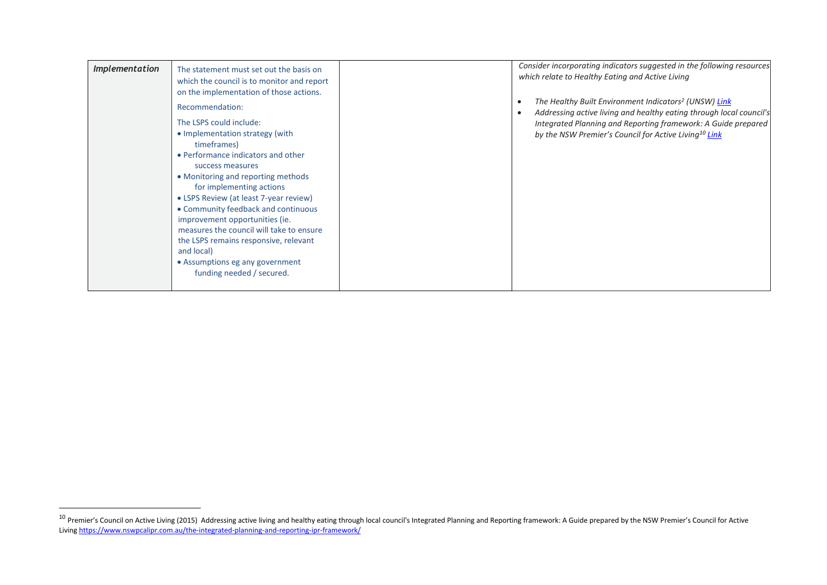| <b>Implementation</b> | The statement must set out the basis on<br>which the council is to monitor and report<br>on the implementation of those actions.<br>Recommendation:<br>The LSPS could include:<br>• Implementation strategy (with<br>timeframes)<br>• Performance indicators and other<br>success measures<br>• Monitoring and reporting methods<br>for implementing actions<br>• LSPS Review (at least 7-year review)<br>• Community feedback and continuous<br>improvement opportunities (ie.<br>measures the council will take to ensure<br>the LSPS remains responsive, relevant<br>and local)<br>• Assumptions eg any government<br>funding needed / secured. |  | Consider incorporating indicators suggested in the following resources<br>which relate to Healthy Eating and Active Living<br>The Healthy Built Environment Indicators <sup>2</sup> (UNSW) Link<br>Addressing active living and healthy eating through local council's<br>Integrated Planning and Reporting framework: A Guide prepared<br>by the NSW Premier's Council for Active Living <sup>10</sup> Link |
|-----------------------|----------------------------------------------------------------------------------------------------------------------------------------------------------------------------------------------------------------------------------------------------------------------------------------------------------------------------------------------------------------------------------------------------------------------------------------------------------------------------------------------------------------------------------------------------------------------------------------------------------------------------------------------------|--|--------------------------------------------------------------------------------------------------------------------------------------------------------------------------------------------------------------------------------------------------------------------------------------------------------------------------------------------------------------------------------------------------------------|
|-----------------------|----------------------------------------------------------------------------------------------------------------------------------------------------------------------------------------------------------------------------------------------------------------------------------------------------------------------------------------------------------------------------------------------------------------------------------------------------------------------------------------------------------------------------------------------------------------------------------------------------------------------------------------------------|--|--------------------------------------------------------------------------------------------------------------------------------------------------------------------------------------------------------------------------------------------------------------------------------------------------------------------------------------------------------------------------------------------------------------|

 $\overline{\phantom{a}}$ 

<sup>&</sup>lt;sup>10</sup> Premier's Council on Active Living (2015) Addressing active living and healthy eating through local council's Integrated Planning and Reporting framework: A Guide prepared by the NSW Premier's Council for Active Living <https://www.nswpcalipr.com.au/the-integrated-planning-and-reporting-ipr-framework/>